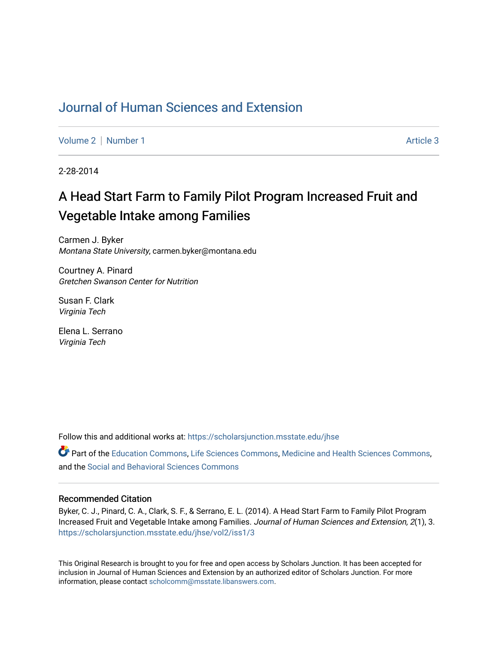# [Journal of Human Sciences and Extension](https://scholarsjunction.msstate.edu/jhse)

[Volume 2](https://scholarsjunction.msstate.edu/jhse/vol2) | [Number 1](https://scholarsjunction.msstate.edu/jhse/vol2/iss1) Article 3

2-28-2014

# A Head Start Farm to Family Pilot Program Increased Fruit and Vegetable Intake among Families

Carmen J. Byker Montana State University, carmen.byker@montana.edu

Courtney A. Pinard Gretchen Swanson Center for Nutrition

Susan F. Clark Virginia Tech

Elena L. Serrano Virginia Tech

Follow this and additional works at: [https://scholarsjunction.msstate.edu/jhse](https://scholarsjunction.msstate.edu/jhse?utm_source=scholarsjunction.msstate.edu%2Fjhse%2Fvol2%2Fiss1%2F3&utm_medium=PDF&utm_campaign=PDFCoverPages)

Part of the [Education Commons](http://network.bepress.com/hgg/discipline/784?utm_source=scholarsjunction.msstate.edu%2Fjhse%2Fvol2%2Fiss1%2F3&utm_medium=PDF&utm_campaign=PDFCoverPages), [Life Sciences Commons](http://network.bepress.com/hgg/discipline/1016?utm_source=scholarsjunction.msstate.edu%2Fjhse%2Fvol2%2Fiss1%2F3&utm_medium=PDF&utm_campaign=PDFCoverPages), [Medicine and Health Sciences Commons](http://network.bepress.com/hgg/discipline/648?utm_source=scholarsjunction.msstate.edu%2Fjhse%2Fvol2%2Fiss1%2F3&utm_medium=PDF&utm_campaign=PDFCoverPages), and the [Social and Behavioral Sciences Commons](http://network.bepress.com/hgg/discipline/316?utm_source=scholarsjunction.msstate.edu%2Fjhse%2Fvol2%2Fiss1%2F3&utm_medium=PDF&utm_campaign=PDFCoverPages) 

#### Recommended Citation

Byker, C. J., Pinard, C. A., Clark, S. F., & Serrano, E. L. (2014). A Head Start Farm to Family Pilot Program Increased Fruit and Vegetable Intake among Families. Journal of Human Sciences and Extension, 2(1), 3. [https://scholarsjunction.msstate.edu/jhse/vol2/iss1/3](https://scholarsjunction.msstate.edu/jhse/vol2/iss1/3?utm_source=scholarsjunction.msstate.edu%2Fjhse%2Fvol2%2Fiss1%2F3&utm_medium=PDF&utm_campaign=PDFCoverPages)

This Original Research is brought to you for free and open access by Scholars Junction. It has been accepted for inclusion in Journal of Human Sciences and Extension by an authorized editor of Scholars Junction. For more information, please contact [scholcomm@msstate.libanswers.com](mailto:scholcomm@msstate.libanswers.com).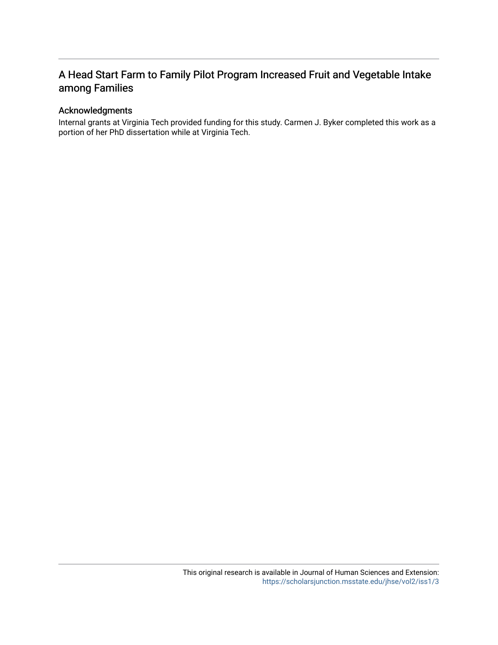# A Head Start Farm to Family Pilot Program Increased Fruit and Vegetable Intake among Families

#### Acknowledgments

Internal grants at Virginia Tech provided funding for this study. Carmen J. Byker completed this work as a portion of her PhD dissertation while at Virginia Tech.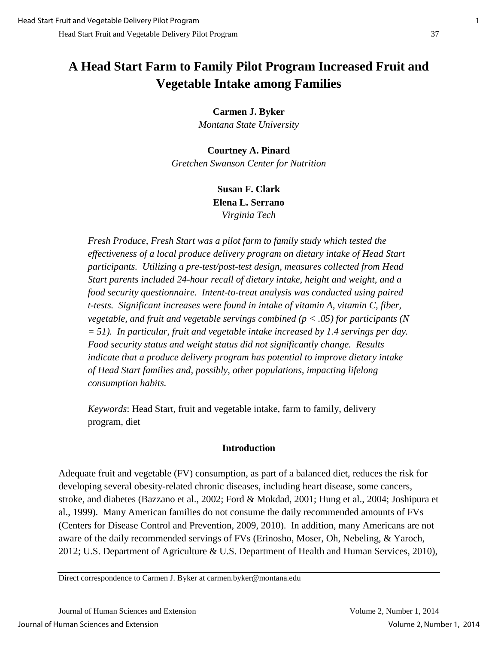# **A Head Start Farm to Family Pilot Program Increased Fruit and Vegetable Intake among Families**

**Carmen J. Byker**

*Montana State University* 

**Courtney A. Pinard** *Gretchen Swanson Center for Nutrition*

> **Susan F. Clark Elena L. Serrano** *Virginia Tech*

*Fresh Produce, Fresh Start was a pilot farm to family study which tested the effectiveness of a local produce delivery program on dietary intake of Head Start participants. Utilizing a pre-test/post-test design, measures collected from Head Start parents included 24-hour recall of dietary intake, height and weight, and a food security questionnaire. Intent-to-treat analysis was conducted using paired t-tests. Significant increases were found in intake of vitamin A, vitamin C, fiber, vegetable, and fruit and vegetable servings combined (p < .05) for participants (N = 51). In particular, fruit and vegetable intake increased by 1.4 servings per day. Food security status and weight status did not significantly change. Results indicate that a produce delivery program has potential to improve dietary intake of Head Start families and, possibly, other populations, impacting lifelong consumption habits.* 

*Keywords*: Head Start, fruit and vegetable intake, farm to family, delivery program, diet

### **Introduction**

Adequate fruit and vegetable (FV) consumption, as part of a balanced diet, reduces the risk for developing several obesity-related chronic diseases, including heart disease, some cancers, stroke, and diabetes (Bazzano et al., 2002; Ford & Mokdad, 2001; Hung et al., 2004; Joshipura et al., 1999). Many American families do not consume the daily recommended amounts of FVs (Centers for Disease Control and Prevention, 2009, 2010). In addition, many Americans are not aware of the daily recommended servings of FVs (Erinosho, Moser, Oh, Nebeling, & Yaroch, 2012; U.S. Department of Agriculture & U.S. Department of Health and Human Services, 2010),

Direct correspondence to Carmen J. Byker at carmen.byker@montana.edu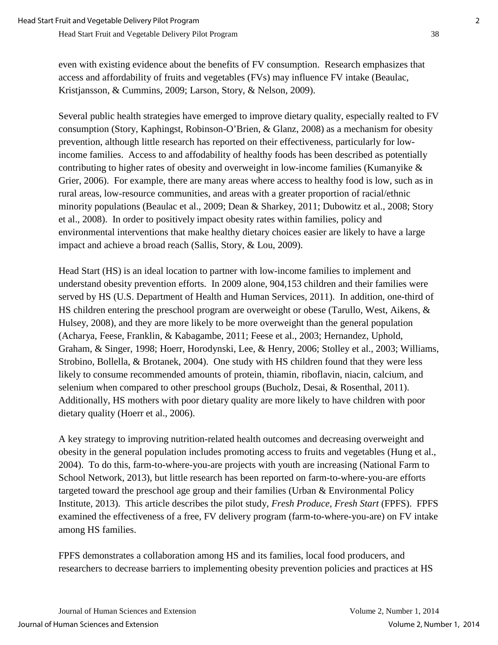even with existing evidence about the benefits of FV consumption. Research emphasizes that access and affordability of fruits and vegetables (FVs) may influence FV intake (Beaulac, Kristjansson, & Cummins, 2009; Larson, Story, & Nelson, 2009).

Several public health strategies have emerged to improve dietary quality, especially realted to FV consumption (Story, Kaphingst, Robinson-O'Brien, & Glanz, 2008) as a mechanism for obesity prevention, although little research has reported on their effectiveness, particularly for lowincome families. Access to and affodability of healthy foods has been described as potentially contributing to higher rates of obesity and overweight in low-income families (Kumanyike & Grier, 2006). For example, there are many areas where access to healthy food is low, such as in rural areas, low-resource communities, and areas with a greater proportion of racial/ethnic minority populations (Beaulac et al., 2009; Dean & Sharkey, 2011; Dubowitz et al., 2008; Story et al., 2008). In order to positively impact obesity rates within families, policy and environmental interventions that make healthy dietary choices easier are likely to have a large impact and achieve a broad reach (Sallis, Story, & Lou, 2009).

Head Start (HS) is an ideal location to partner with low-income families to implement and understand obesity prevention efforts. In 2009 alone, 904,153 children and their families were served by HS (U.S. Department of Health and Human Services, 2011). In addition, one-third of HS children entering the preschool program are overweight or obese (Tarullo, West, Aikens, & Hulsey, 2008), and they are more likely to be more overweight than the general population (Acharya, Feese, Franklin, & Kabagambe, 2011; Feese et al., 2003; Hernandez, Uphold, Graham, & Singer, 1998; Hoerr, Horodynski, Lee, & Henry, 2006; Stolley et al., 2003; Williams, Strobino, Bollella, & Brotanek, 2004). One study with HS children found that they were less likely to consume recommended amounts of protein, thiamin, riboflavin, niacin, calcium, and selenium when compared to other preschool groups (Bucholz, Desai, & Rosenthal, 2011). Additionally, HS mothers with poor dietary quality are more likely to have children with poor dietary quality (Hoerr et al., 2006).

A key strategy to improving nutrition-related health outcomes and decreasing overweight and obesity in the general population includes promoting access to fruits and vegetables (Hung et al., 2004). To do this, farm-to-where-you-are projects with youth are increasing (National Farm to School Network, 2013), but little research has been reported on farm-to-where-you-are efforts targeted toward the preschool age group and their families (Urban & Environmental Policy Institute, 2013). This article describes the pilot study, *Fresh Produce, Fresh Start* (FPFS). FPFS examined the effectiveness of a free, FV delivery program (farm-to-where-you-are) on FV intake among HS families.

FPFS demonstrates a collaboration among HS and its families, local food producers, and researchers to decrease barriers to implementing obesity prevention policies and practices at HS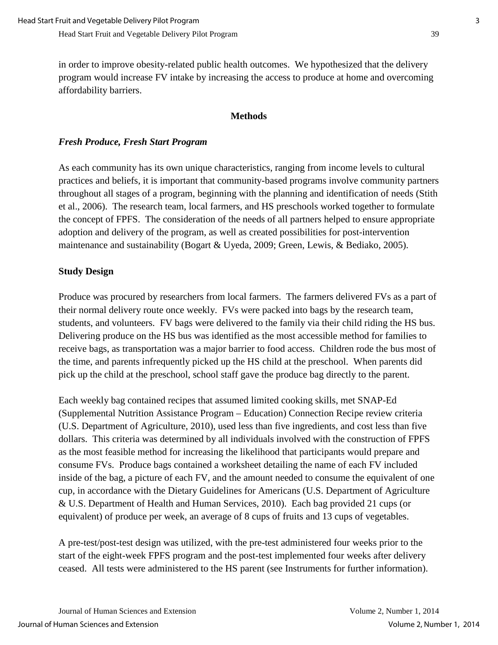in order to improve obesity-related public health outcomes. We hypothesized that the delivery program would increase FV intake by increasing the access to produce at home and overcoming affordability barriers.

### **Methods**

## *Fresh Produce, Fresh Start Program*

As each community has its own unique characteristics, ranging from income levels to cultural practices and beliefs, it is important that community-based programs involve community partners throughout all stages of a program, beginning with the planning and identification of needs (Stith et al., 2006). The research team, local farmers, and HS preschools worked together to formulate the concept of FPFS. The consideration of the needs of all partners helped to ensure appropriate adoption and delivery of the program, as well as created possibilities for post-intervention maintenance and sustainability (Bogart & Uyeda, 2009; Green, Lewis, & Bediako, 2005).

## **Study Design**

Produce was procured by researchers from local farmers. The farmers delivered FVs as a part of their normal delivery route once weekly. FVs were packed into bags by the research team, students, and volunteers. FV bags were delivered to the family via their child riding the HS bus. Delivering produce on the HS bus was identified as the most accessible method for families to receive bags, as transportation was a major barrier to food access. Children rode the bus most of the time, and parents infrequently picked up the HS child at the preschool. When parents did pick up the child at the preschool, school staff gave the produce bag directly to the parent.

Each weekly bag contained recipes that assumed limited cooking skills, met SNAP-Ed (Supplemental Nutrition Assistance Program – Education) Connection Recipe review criteria (U.S. Department of Agriculture, 2010), used less than five ingredients, and cost less than five dollars. This criteria was determined by all individuals involved with the construction of FPFS as the most feasible method for increasing the likelihood that participants would prepare and consume FVs. Produce bags contained a worksheet detailing the name of each FV included inside of the bag, a picture of each FV, and the amount needed to consume the equivalent of one cup, in accordance with the Dietary Guidelines for Americans (U.S. Department of Agriculture & U.S. Department of Health and Human Services, 2010). Each bag provided 21 cups (or equivalent) of produce per week, an average of 8 cups of fruits and 13 cups of vegetables.

A pre-test/post-test design was utilized, with the pre-test administered four weeks prior to the start of the eight-week FPFS program and the post-test implemented four weeks after delivery ceased. All tests were administered to the HS parent (see Instruments for further information).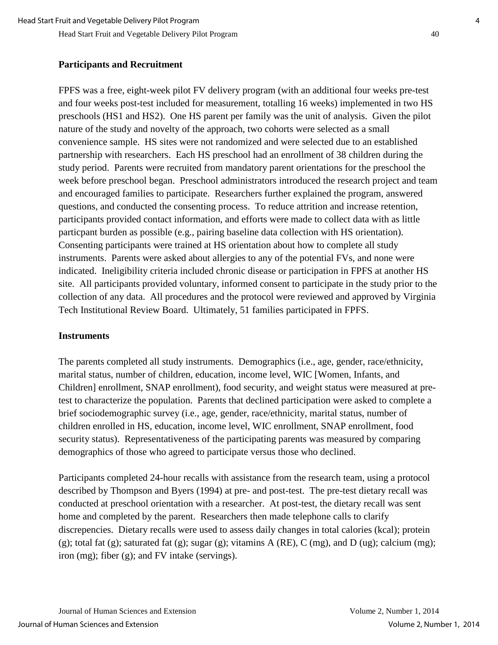### **Participants and Recruitment**

FPFS was a free, eight-week pilot FV delivery program (with an additional four weeks pre-test and four weeks post-test included for measurement, totalling 16 weeks) implemented in two HS preschools (HS1 and HS2). One HS parent per family was the unit of analysis. Given the pilot nature of the study and novelty of the approach, two cohorts were selected as a small convenience sample. HS sites were not randomized and were selected due to an established partnership with researchers. Each HS preschool had an enrollment of 38 children during the study period. Parents were recruited from mandatory parent orientations for the preschool the week before preschool began. Preschool administrators introduced the research project and team and encouraged families to participate. Researchers further explained the program, answered questions, and conducted the consenting process. To reduce attrition and increase retention, participants provided contact information, and efforts were made to collect data with as little particpant burden as possible (e.g., pairing baseline data collection with HS orientation). Consenting participants were trained at HS orientation about how to complete all study instruments. Parents were asked about allergies to any of the potential FVs, and none were indicated. Ineligibility criteria included chronic disease or participation in FPFS at another HS site. All participants provided voluntary, informed consent to participate in the study prior to the collection of any data. All procedures and the protocol were reviewed and approved by Virginia Tech Institutional Review Board. Ultimately, 51 families participated in FPFS.

### **Instruments**

The parents completed all study instruments. Demographics (i.e., age, gender, race/ethnicity, marital status, number of children, education, income level, WIC [Women, Infants, and Children] enrollment, SNAP enrollment), food security, and weight status were measured at pretest to characterize the population. Parents that declined participation were asked to complete a brief sociodemographic survey (i.e., age, gender, race/ethnicity, marital status, number of children enrolled in HS, education, income level, WIC enrollment, SNAP enrollment, food security status). Representativeness of the participating parents was measured by comparing demographics of those who agreed to participate versus those who declined.

Participants completed 24-hour recalls with assistance from the research team, using a protocol described by Thompson and Byers (1994) at pre- and post-test. The pre-test dietary recall was conducted at preschool orientation with a researcher. At post-test, the dietary recall was sent home and completed by the parent. Researchers then made telephone calls to clarify discrepencies. Dietary recalls were used to assess daily changes in total calories (kcal); protein (g); total fat (g); saturated fat (g); sugar (g); vitamins A (RE), C (mg), and D (ug); calcium (mg); iron (mg); fiber (g); and FV intake (servings).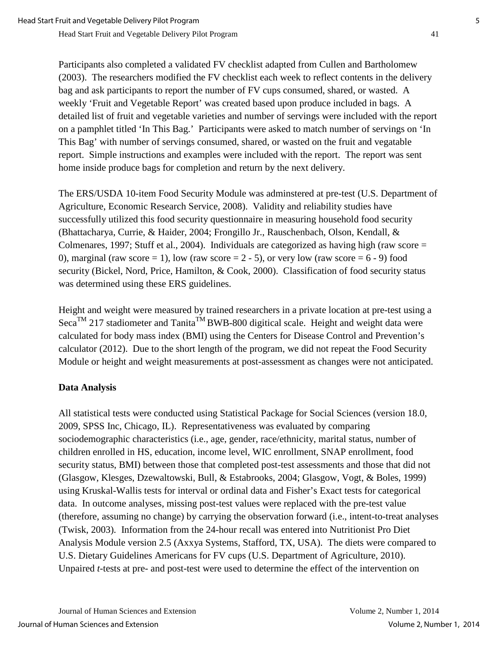Participants also completed a validated FV checklist adapted from Cullen and Bartholomew (2003). The researchers modified the FV checklist each week to reflect contents in the delivery bag and ask participants to report the number of FV cups consumed, shared, or wasted. A weekly 'Fruit and Vegetable Report' was created based upon produce included in bags. A detailed list of fruit and vegetable varieties and number of servings were included with the report on a pamphlet titled 'In This Bag.' Participants were asked to match number of servings on 'In This Bag' with number of servings consumed, shared, or wasted on the fruit and vegatable report. Simple instructions and examples were included with the report. The report was sent home inside produce bags for completion and return by the next delivery.

The ERS/USDA 10-item Food Security Module was adminstered at pre-test (U.S. Department of Agriculture, Economic Research Service, 2008). Validity and reliability studies have successfully utilized this food security questionnaire in measuring household food security (Bhattacharya, Currie, & Haider, 2004; Frongillo Jr., Rauschenbach, Olson, Kendall, & Colmenares, 1997; Stuff et al., 2004). Individuals are categorized as having high (raw score = 0), marginal (raw score = 1), low (raw score =  $2 - 5$ ), or very low (raw score =  $6 - 9$ ) food security (Bickel, Nord, Price, Hamilton, & Cook, 2000). Classification of food security status was determined using these ERS guidelines.

Height and weight were measured by trained researchers in a private location at pre-test using a Seca<sup>TM</sup> 217 stadiometer and Tanita<sup>TM</sup> BWB-800 digitical scale. Height and weight data were calculated for body mass index (BMI) using the Centers for Disease Control and Prevention's calculator (2012). Due to the short length of the program, we did not repeat the Food Security Module or height and weight measurements at post-assessment as changes were not anticipated.

### **Data Analysis**

All statistical tests were conducted using Statistical Package for Social Sciences (version 18.0, 2009, SPSS Inc, Chicago, IL). Representativeness was evaluated by comparing sociodemographic characteristics (i.e., age, gender, race/ethnicity, marital status, number of children enrolled in HS, education, income level, WIC enrollment, SNAP enrollment, food security status, BMI) between those that completed post-test assessments and those that did not (Glasgow, Klesges, Dzewaltowski, Bull, & Estabrooks, 2004; Glasgow, Vogt, & Boles, 1999) using Kruskal-Wallis tests for interval or ordinal data and Fisher's Exact tests for categorical data. In outcome analyses, missing post-test values were replaced with the pre-test value (therefore, assuming no change) by carrying the observation forward (i.e., intent-to-treat analyses (Twisk, 2003). Information from the 24-hour recall was entered into Nutritionist Pro Diet Analysis Module version 2.5 (Axxya Systems, Stafford, TX, USA). The diets were compared to U.S. Dietary Guidelines Americans for FV cups (U.S. Department of Agriculture, 2010). Unpaired *t*-tests at pre- and post-test were used to determine the effect of the intervention on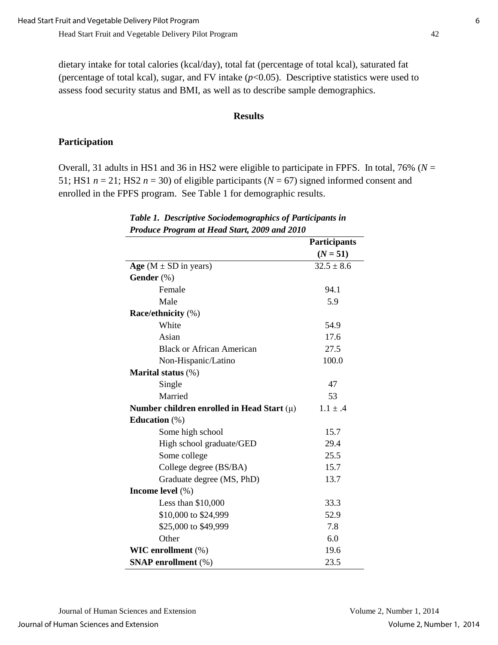dietary intake for total calories (kcal/day), total fat (percentage of total kcal), saturated fat (percentage of total kcal), sugar, and FV intake  $(p<0.05)$ . Descriptive statistics were used to assess food security status and BMI, as well as to describe sample demographics.

#### **Results**

#### **Participation**

Overall, 31 adults in HS1 and 36 in HS2 were eligible to participate in FPFS. In total, 76% (*N* = 51; HS1  $n = 21$ ; HS2  $n = 30$ ) of eligible participants ( $N = 67$ ) signed informed consent and enrolled in the FPFS program. See Table 1 for demographic results.

|                                                | <b>Participants</b> |
|------------------------------------------------|---------------------|
|                                                | $(N = 51)$          |
| Age ( $M \pm SD$ in years)                     | $32.5 \pm 8.6$      |
| Gender (%)                                     |                     |
| Female                                         | 94.1                |
| Male                                           | 5.9                 |
| Race/ethnicity (%)                             |                     |
| White                                          | 54.9                |
| Asian                                          | 17.6                |
| <b>Black or African American</b>               | 27.5                |
| Non-Hispanic/Latino                            | 100.0               |
| Marital status (%)                             |                     |
| Single                                         | 47                  |
| Married                                        | 53                  |
| Number children enrolled in Head Start $(\mu)$ | $1.1 \pm .4$        |
| Education $(\%)$                               |                     |
| Some high school                               | 15.7                |
| High school graduate/GED                       | 29.4                |
| Some college                                   | 25.5                |
| College degree (BS/BA)                         | 15.7                |
| Graduate degree (MS, PhD)                      | 13.7                |
| Income level (%)                               |                     |
| Less than $$10,000$                            | 33.3                |
| \$10,000 to \$24,999                           | 52.9                |
| \$25,000 to \$49,999                           | 7.8                 |
| Other                                          | 6.0                 |
| WIC enrollment (%)                             | 19.6                |
| <b>SNAP</b> enrollment (%)                     | 23.5                |

#### *Table 1. Descriptive Sociodemographics of Participants in Produce Program at Head Start, 2009 and 2010*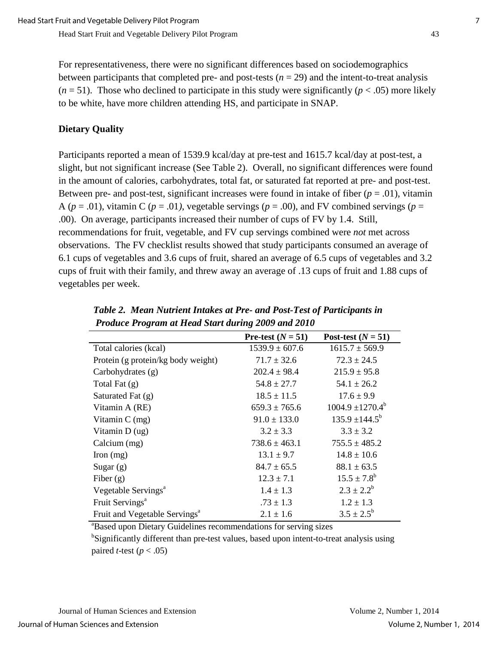For representativeness, there were no significant differences based on sociodemographics between participants that completed pre- and post-tests  $(n = 29)$  and the intent-to-treat analysis  $(n = 51)$ . Those who declined to participate in this study were significantly ( $p < .05$ ) more likely to be white, have more children attending HS, and participate in SNAP.

## **Dietary Quality**

Participants reported a mean of 1539.9 kcal/day at pre-test and 1615.7 kcal/day at post-test, a slight, but not significant increase (See Table 2). Overall, no significant differences were found in the amount of calories, carbohydrates, total fat, or saturated fat reported at pre- and post-test. Between pre- and post-test, significant increases were found in intake of fiber  $(p = .01)$ , vitamin A ( $p = .01$ ), vitamin C ( $p = .01$ ), vegetable servings ( $p = .00$ ), and FV combined servings ( $p =$ .00). On average, participants increased their number of cups of FV by 1.4. Still, recommendations for fruit, vegetable, and FV cup servings combined were *not* met across observations. The FV checklist results showed that study participants consumed an average of 6.1 cups of vegetables and 3.6 cups of fruit, shared an average of 6.5 cups of vegetables and 3.2 cups of fruit with their family, and threw away an average of .13 cups of fruit and 1.88 cups of vegetables per week.

|                                           | Pre-test $(N = 51)$ | Post-test $(N = 51)$  |
|-------------------------------------------|---------------------|-----------------------|
| Total calories (kcal)                     | $1539.9 \pm 607.6$  | $1615.7 \pm 569.9$    |
| Protein (g protein/kg body weight)        | $71.7 \pm 32.6$     | $72.3 \pm 24.5$       |
| Carbohydrates (g)                         | $202.4 \pm 98.4$    | $215.9 \pm 95.8$      |
| Total Fat $(g)$                           | $54.8 \pm 27.7$     | $54.1 \pm 26.2$       |
| Saturated Fat (g)                         | $18.5 \pm 11.5$     | $17.6 \pm 9.9$        |
| Vitamin A (RE)                            | $659.3 \pm 765.6$   | $1004.9 \pm 1270.4^b$ |
| Vitamin $C$ (mg)                          | $91.0 \pm 133.0$    | $135.9 \pm 144.5^b$   |
| Vitamin $D(ug)$                           | $3.2 \pm 3.3$       | $3.3 \pm 3.2$         |
| Calcium (mg)                              | $738.6 \pm 463.1$   | $755.5 \pm 485.2$     |
| Iron $(mg)$                               | $13.1 \pm 9.7$      | $14.8 \pm 10.6$       |
| Sugar $(g)$                               | $84.7 \pm 65.5$     | $88.1 \pm 63.5$       |
| Fiber $(g)$                               | $12.3 \pm 7.1$      | $15.5 \pm 7.8^b$      |
| Vegetable Servings <sup>a</sup>           | $1.4 \pm 1.3$       | $2.3 \pm 2.2^b$       |
| Fruit Servings <sup>a</sup>               | $.73 \pm 1.3$       | $1.2 \pm 1.3$         |
| Fruit and Vegetable Servings <sup>a</sup> | $2.1 \pm 1.6$       | $3.5 \pm 2.5^{\rm b}$ |

*Table 2. Mean Nutrient Intakes at Pre- and Post-Test of Participants in Produce Program at Head Start during 2009 and 2010* 

a Based upon Dietary Guidelines recommendations for serving sizes

<sup>b</sup>Significantly different than pre-test values, based upon intent-to-treat analysis using paired *t*-test ( $p < .05$ )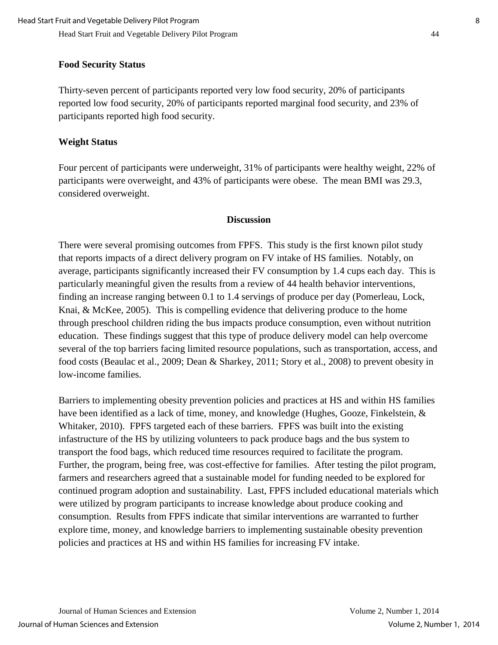# **Food Security Status**

Thirty-seven percent of participants reported very low food security, 20% of participants reported low food security, 20% of participants reported marginal food security, and 23% of participants reported high food security.

# **Weight Status**

Four percent of participants were underweight, 31% of participants were healthy weight, 22% of participants were overweight, and 43% of participants were obese. The mean BMI was 29.3, considered overweight.

# **Discussion**

There were several promising outcomes from FPFS. This study is the first known pilot study that reports impacts of a direct delivery program on FV intake of HS families. Notably, on average, participants significantly increased their FV consumption by 1.4 cups each day. This is particularly meaningful given the results from a review of 44 health behavior interventions, finding an increase ranging between 0.1 to 1.4 servings of produce per day (Pomerleau, Lock, Knai, & McKee, 2005). This is compelling evidence that delivering produce to the home through preschool children riding the bus impacts produce consumption, even without nutrition education. These findings suggest that this type of produce delivery model can help overcome several of the top barriers facing limited resource populations, such as transportation, access, and food costs (Beaulac et al., 2009; Dean & Sharkey, 2011; Story et al., 2008) to prevent obesity in low-income families.

Barriers to implementing obesity prevention policies and practices at HS and within HS families have been identified as a lack of time, money, and knowledge (Hughes, Gooze, Finkelstein, & Whitaker, 2010). FPFS targeted each of these barriers. FPFS was built into the existing infastructure of the HS by utilizing volunteers to pack produce bags and the bus system to transport the food bags, which reduced time resources required to facilitate the program. Further, the program, being free, was cost-effective for families. After testing the pilot program, farmers and researchers agreed that a sustainable model for funding needed to be explored for continued program adoption and sustainability. Last, FPFS included educational materials which were utilized by program participants to increase knowledge about produce cooking and consumption. Results from FPFS indicate that similar interventions are warranted to further explore time, money, and knowledge barriers to implementing sustainable obesity prevention policies and practices at HS and within HS families for increasing FV intake.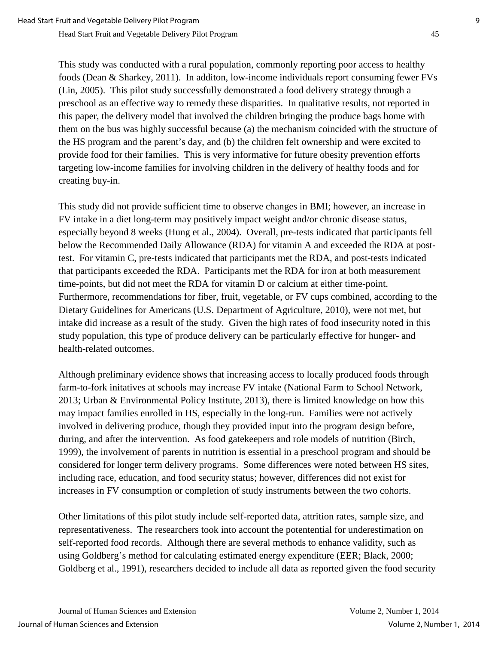Head Start Fruit and Vegetable Delivery Pilot Program 45

This study was conducted with a rural population, commonly reporting poor access to healthy foods (Dean & Sharkey, 2011). In additon, low-income individuals report consuming fewer FVs (Lin, 2005). This pilot study successfully demonstrated a food delivery strategy through a preschool as an effective way to remedy these disparities. In qualitative results, not reported in this paper, the delivery model that involved the children bringing the produce bags home with them on the bus was highly successful because (a) the mechanism coincided with the structure of the HS program and the parent's day, and (b) the children felt ownership and were excited to provide food for their families. This is very informative for future obesity prevention efforts targeting low-income families for involving children in the delivery of healthy foods and for creating buy-in.

This study did not provide sufficient time to observe changes in BMI; however, an increase in FV intake in a diet long-term may positively impact weight and/or chronic disease status, especially beyond 8 weeks (Hung et al., 2004). Overall, pre-tests indicated that participants fell below the Recommended Daily Allowance (RDA) for vitamin A and exceeded the RDA at posttest. For vitamin C, pre-tests indicated that participants met the RDA, and post-tests indicated that participants exceeded the RDA. Participants met the RDA for iron at both measurement time-points, but did not meet the RDA for vitamin D or calcium at either time-point. Furthermore, recommendations for fiber, fruit, vegetable, or FV cups combined, according to the Dietary Guidelines for Americans (U.S. Department of Agriculture, 2010), were not met, but intake did increase as a result of the study. Given the high rates of food insecurity noted in this study population, this type of produce delivery can be particularly effective for hunger- and health-related outcomes.

Although preliminary evidence shows that increasing access to locally produced foods through farm-to-fork initatives at schools may increase FV intake (National Farm to School Network, 2013; Urban & Environmental Policy Institute, 2013), there is limited knowledge on how this may impact families enrolled in HS, especially in the long-run. Families were not actively involved in delivering produce, though they provided input into the program design before, during, and after the intervention. As food gatekeepers and role models of nutrition (Birch, 1999), the involvement of parents in nutrition is essential in a preschool program and should be considered for longer term delivery programs. Some differences were noted between HS sites, including race, education, and food security status; however, differences did not exist for increases in FV consumption or completion of study instruments between the two cohorts.

Other limitations of this pilot study include self-reported data, attrition rates, sample size, and representativeness. The researchers took into account the potentential for underestimation on self-reported food records. Although there are several methods to enhance validity, such as using Goldberg's method for calculating estimated energy expenditure (EER; Black, 2000; Goldberg et al., 1991), researchers decided to include all data as reported given the food security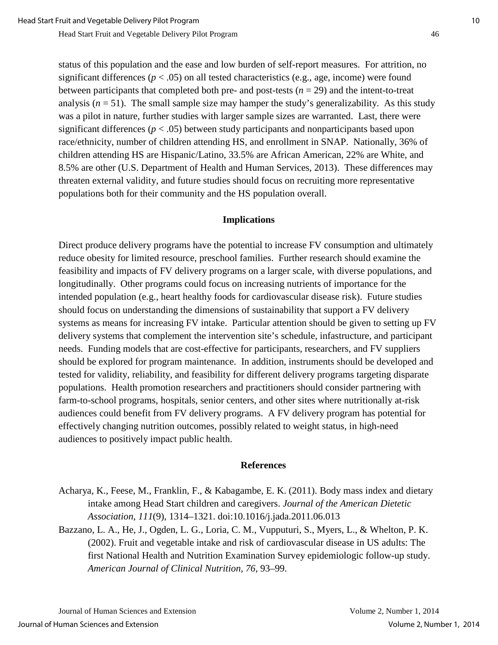status of this population and the ease and low burden of self-report measures. For attrition, no significant differences ( $p < .05$ ) on all tested characteristics (e.g., age, income) were found between participants that completed both pre- and post-tests  $(n = 29)$  and the intent-to-treat analysis  $(n = 51)$ . The small sample size may hamper the study's generalizability. As this study was a pilot in nature, further studies with larger sample sizes are warranted. Last, there were significant differences ( $p < .05$ ) between study participants and nonparticipants based upon race/ethnicity, number of children attending HS, and enrollment in SNAP. Nationally, 36% of children attending HS are Hispanic/Latino, 33.5% are African American, 22% are White, and 8.5% are other (U.S. Department of Health and Human Services, 2013). These differences may threaten external validity, and future studies should focus on recruiting more representative populations both for their community and the HS population overall.

#### **Implications**

Direct produce delivery programs have the potential to increase FV consumption and ultimately reduce obesity for limited resource, preschool families. Further research should examine the feasibility and impacts of FV delivery programs on a larger scale, with diverse populations, and longitudinally. Other programs could focus on increasing nutrients of importance for the intended population (e.g., heart healthy foods for cardiovascular disease risk). Future studies should focus on understanding the dimensions of sustainability that support a FV delivery systems as means for increasing FV intake. Particular attention should be given to setting up FV delivery systems that complement the intervention site's schedule, infastructure, and participant needs. Funding models that are cost-effective for participants, researchers, and FV suppliers should be explored for program maintenance. In addition, instruments should be developed and tested for validity, reliability, and feasibility for different delivery programs targeting disparate populations. Health promotion researchers and practitioners should consider partnering with farm-to-school programs, hospitals, senior centers, and other sites where nutritionally at-risk audiences could benefit from FV delivery programs. A FV delivery program has potential for effectively changing nutrition outcomes, possibly related to weight status, in high-need audiences to positively impact public health.

#### **References**

- Acharya, K., Feese, M., Franklin, F., & Kabagambe, E. K. (2011). Body mass index and dietary intake among Head Start children and caregivers. *Journal of the American Dietetic Association*, *111*(9), 1314–1321. doi:10.1016/j.jada.2011.06.013
- Bazzano, L. A., He, J., Ogden, L. G., Loria, C. M., Vupputuri, S., Myers, L., & Whelton, P. K. (2002). Fruit and vegetable intake and risk of cardiovascular disease in US adults: The first National Health and Nutrition Examination Survey epidemiologic follow-up study. *American Journal of Clinical Nutrition, 76*, 93–99.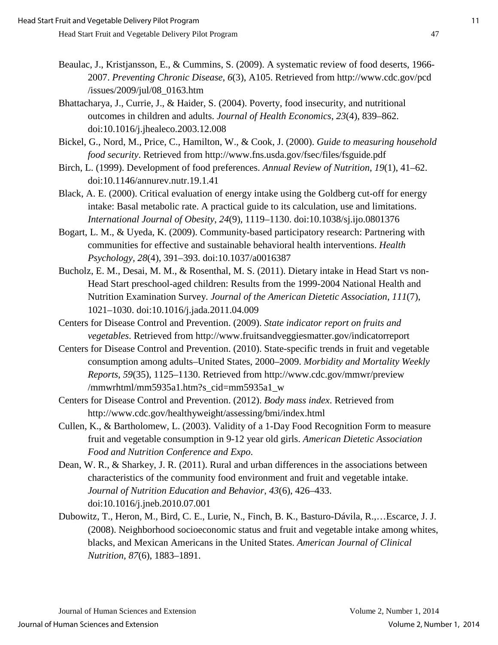- Beaulac, J., Kristjansson, E., & Cummins, S. (2009). A systematic review of food deserts, 1966- 2007. *Preventing Chronic Disease*, *6*(3), A105. Retrieved from http://www.cdc.gov/pcd /issues/2009/jul/08\_0163.htm
- Bhattacharya, J., Currie, J., & Haider, S. (2004). Poverty, food insecurity, and nutritional outcomes in children and adults. *Journal of Health Economics*, *23*(4), 839–862. doi:10.1016/j.jhealeco.2003.12.008
- Bickel, G., Nord, M., Price, C., Hamilton, W., & Cook, J. (2000). *Guide to measuring household food security*. Retrieved from http://www.fns.usda.gov/fsec/files/fsguide.pdf
- Birch, L. (1999). Development of food preferences. *Annual Review of Nutrition*, *19*(1), 41–62. doi:10.1146/annurev.nutr.19.1.41
- Black, A. E. (2000). Critical evaluation of energy intake using the Goldberg cut-off for energy intake: Basal metabolic rate. A practical guide to its calculation, use and limitations. *International Journal of Obesity*, *24*(9), 1119–1130. doi:10.1038/sj.ijo.0801376
- Bogart, L. M., & Uyeda, K. (2009). Community-based participatory research: Partnering with communities for effective and sustainable behavioral health interventions. *Health Psychology, 28*(4), 391–393. doi:10.1037/a0016387
- Bucholz, E. M., Desai, M. M., & Rosenthal, M. S. (2011). Dietary intake in Head Start vs non-Head Start preschool-aged children: Results from the 1999-2004 National Health and Nutrition Examination Survey*. Journal of the American Dietetic Association*, *111*(7), 1021–1030. doi:10.1016/j.jada.2011.04.009
- Centers for Disease Control and Prevention. (2009). *State indicator report on fruits and vegetables*. Retrieved from http://www.fruitsandveggiesmatter.gov/indicatorreport
- Centers for Disease Control and Prevention. (2010). State-specific trends in fruit and vegetable consumption among adults–United States, 2000–2009. *Morbidity and Mortality Weekly Reports*, *59*(35), 1125–1130. Retrieved from http://www.cdc.gov/mmwr/preview /mmwrhtml/mm5935a1.htm?s\_cid=mm5935a1\_w
- Centers for Disease Control and Prevention. (2012). *Body mass index*. Retrieved from http://www.cdc.gov/healthyweight/assessing/bmi/index.html
- Cullen, K., & Bartholomew, L. (2003). Validity of a 1-Day Food Recognition Form to measure fruit and vegetable consumption in 9-12 year old girls. *American Dietetic Association Food and Nutrition Conference and Expo*.
- Dean, W. R., & Sharkey, J. R. (2011). Rural and urban differences in the associations between characteristics of the community food environment and fruit and vegetable intake. *Journal of Nutrition Education and Behavior*, *43*(6), 426–433. doi:10.1016/j.jneb.2010.07.001
- Dubowitz, T., Heron, M., Bird, C. E., Lurie, N., Finch, B. K., Basturo-Dávila, R.,…Escarce, J. J. (2008). Neighborhood socioeconomic status and fruit and vegetable intake among whites, blacks, and Mexican Americans in the United States. *American Journal of Clinical Nutrition, 87*(6), 1883–1891.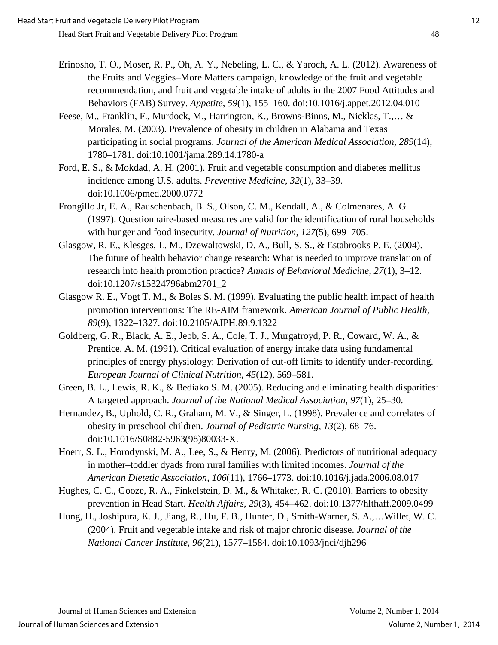- Erinosho, T. O., Moser, R. P., Oh, A. Y., Nebeling, L. C., & Yaroch, A. L. (2012). Awareness of the Fruits and Veggies–More Matters campaign, knowledge of the fruit and vegetable recommendation, and fruit and vegetable intake of adults in the 2007 Food Attitudes and Behaviors (FAB) Survey. *Appetite*, *59*(1), 155–160. doi:10.1016/j.appet.2012.04.010
- Feese, M., Franklin, F., Murdock, M., Harrington, K., Browns-Binns, M., Nicklas, T.,… & Morales, M. (2003). Prevalence of obesity in children in Alabama and Texas participating in social programs. *Journal of the American Medical Association*, *289*(14), 1780–1781. doi:10.1001/jama.289.14.1780-a
- Ford, E. S., & Mokdad, A. H. (2001). Fruit and vegetable consumption and diabetes mellitus incidence among U.S. adults. *Preventive Medicine*, *32*(1), 33–39. doi:10.1006/pmed.2000.0772
- Frongillo Jr, E. A., Rauschenbach, B. S., Olson, C. M., Kendall, A., & Colmenares, A. G. (1997). Questionnaire-based measures are valid for the identification of rural households with hunger and food insecurity. *Journal of Nutrition*, *127*(5), 699–705.
- Glasgow, R. E., Klesges, L. M., Dzewaltowski, D. A., Bull, S. S., & Estabrooks P. E. (2004). The future of health behavior change research: What is needed to improve translation of research into health promotion practice? *Annals of Behavioral Medicine*, *27*(1), 3–12. doi:10.1207/s15324796abm2701\_2
- Glasgow R. E., Vogt T. M., & Boles S. M. (1999). Evaluating the public health impact of health promotion interventions: The RE-AIM framework. *American Journal of Public Health*, *89*(9), 1322–1327. doi:10.2105/AJPH.89.9.1322
- Goldberg, G. R., Black, A. E., Jebb, S. A., Cole, T. J., Murgatroyd, P. R., Coward, W. A., & Prentice, A. M. (1991). Critical evaluation of energy intake data using fundamental principles of energy physiology: Derivation of cut-off limits to identify under-recording. *European Journal of Clinical Nutrition*, *45*(12), 569–581.
- Green, B. L., Lewis, R. K., & Bediako S. M. (2005). Reducing and eliminating health disparities: A targeted approach. *Journal of the National Medical Association*, *97*(1), 25–30.
- Hernandez, B., Uphold, C. R., Graham, M. V., & Singer, L. (1998). Prevalence and correlates of obesity in preschool children. *Journal of Pediatric Nursing*, *13*(2), 68–76. doi:10.1016/S0882-5963(98)80033-X.
- Hoerr, S. L., Horodynski, M. A., Lee, S., & Henry, M. (2006). Predictors of nutritional adequacy in mother–toddler dyads from rural families with limited incomes. *Journal of the American Dietetic Association*, *106*(11), 1766–1773. doi:10.1016/j.jada.2006.08.017
- Hughes, C. C., Gooze, R. A., Finkelstein, D. M., & Whitaker, R. C. (2010). Barriers to obesity prevention in Head Start. *Health Affairs*, *29*(3), 454–462. doi:10.1377/hlthaff.2009.0499
- Hung, H., Joshipura, K. J., Jiang, R., Hu, F. B., Hunter, D., Smith-Warner, S. A.,…Willet, W. C. (2004). Fruit and vegetable intake and risk of major chronic disease. *Journal of the National Cancer Institute*, *96*(21), 1577–1584. doi:10.1093/jnci/djh296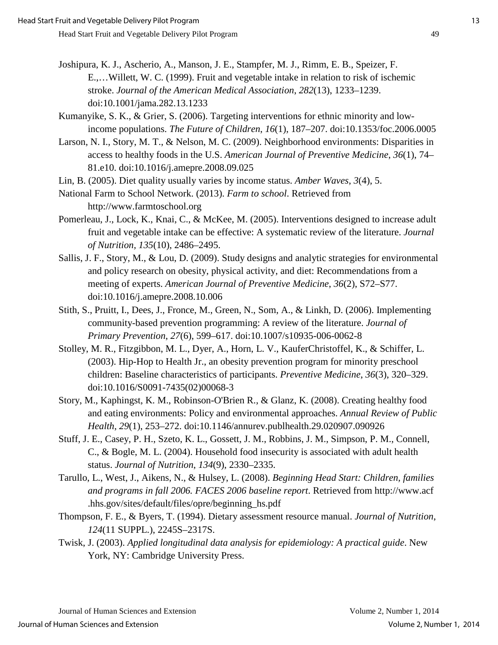- Joshipura, K. J., Ascherio, A., Manson, J. E., Stampfer, M. J., Rimm, E. B., Speizer, F. E.,…Willett, W. C. (1999). Fruit and vegetable intake in relation to risk of ischemic stroke. *Journal of the American Medical Association*, *282*(13), 1233–1239. doi:10.1001/jama.282.13.1233
- Kumanyike, S. K., & Grier, S. (2006). Targeting interventions for ethnic minority and lowincome populations. *The Future of Children*, *16*(1), 187–207. doi:10.1353/foc.2006.0005
- Larson, N. I., Story, M. T., & Nelson, M. C. (2009). Neighborhood environments: Disparities in access to healthy foods in the U.S. *American Journal of Preventive Medicine*, *36*(1), 74– 81.e10. doi:10.1016/j.amepre.2008.09.025
- Lin, B. (2005). Diet quality usually varies by income status. *Amber Waves*, *3*(4), 5.
- National Farm to School Network. (2013). *Farm to school*. Retrieved from http://www.farmtoschool.org
- Pomerleau, J., Lock, K., Knai, C., & McKee, M. (2005). Interventions designed to increase adult fruit and vegetable intake can be effective: A systematic review of the literature. *Journal of Nutrition, 135*(10), 2486–2495.
- Sallis, J. F., Story, M., & Lou, D. (2009). Study designs and analytic strategies for environmental and policy research on obesity, physical activity, and diet: Recommendations from a meeting of experts. *American Journal of Preventive Medicine*, *36*(2), S72–S77. doi:10.1016/j.amepre.2008.10.006
- Stith, S., Pruitt, I., Dees, J., Fronce, M., Green, N., Som, A., & Linkh, D. (2006). Implementing community-based prevention programming: A review of the literature. *Journal of Primary Prevention*, *27*(6), 599–617. doi:10.1007/s10935-006-0062-8
- Stolley, M. R., Fitzgibbon, M. L., Dyer, A., Horn, L. V., KauferChristoffel, K., & Schiffer, L. (2003). Hip-Hop to Health Jr., an obesity prevention program for minority preschool children: Baseline characteristics of participants. *Preventive Medicine*, *36*(3), 320–329. doi:10.1016/S0091-7435(02)00068-3
- Story, M., Kaphingst, K. M., Robinson-O'Brien R., & Glanz, K. (2008). Creating healthy food and eating environments: Policy and environmental approaches. *Annual Review of Public Health*, *29*(1), 253–272. doi:10.1146/annurev.publhealth.29.020907.090926
- Stuff, J. E., Casey, P. H., Szeto, K. L., Gossett, J. M., Robbins, J. M., Simpson, P. M., Connell, C., & Bogle, M. L. (2004). Household food insecurity is associated with adult health status. *Journal of Nutrition*, *134*(9), 2330–2335.
- Tarullo, L., West, J., Aikens, N., & Hulsey, L. (2008). *Beginning Head Start: Children, families and programs in fall 2006. FACES 2006 baseline report*. Retrieved from http://www.acf .hhs.gov/sites/default/files/opre/beginning\_hs.pdf
- Thompson, F. E., & Byers, T. (1994). Dietary assessment resource manual. *Journal of Nutrition*, *124*(11 SUPPL.), 2245S–2317S.
- Twisk, J. (2003). *Applied longitudinal data analysis for epidemiology: A practical guide*. New York, NY: Cambridge University Press.